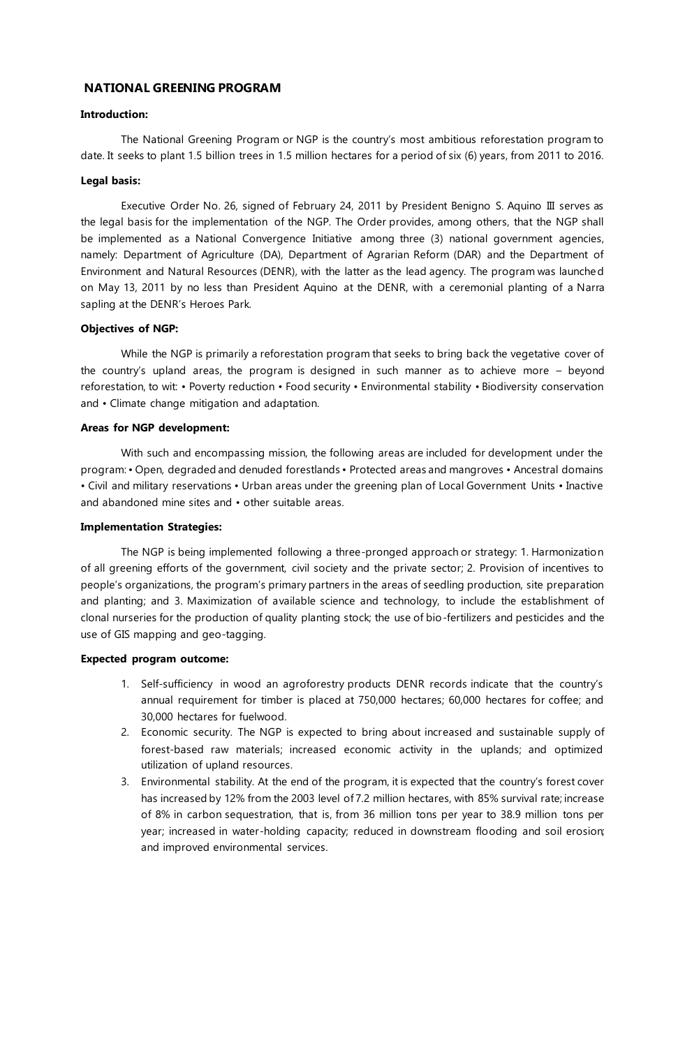# **NATIONAL GREENING PROGRAM**

### **Introduction:**

The National Greening Program or NGP is the country's most ambitious reforestation program to date. It seeks to plant 1.5 billion trees in 1.5 million hectares for a period of six (6) years, from 2011 to 2016.

#### **Legal basis:**

Executive Order No. 26, signed of February 24, 2011 by President Benigno S. Aquino III serves as the legal basis for the implementation of the NGP. The Order provides, among others, that the NGP shall be implemented as a National Convergence Initiative among three (3) national government agencies, namely: Department of Agriculture (DA), Department of Agrarian Reform (DAR) and the Department of Environment and Natural Resources (DENR), with the latter as the lead agency. The program was launched on May 13, 2011 by no less than President Aquino at the DENR, with a ceremonial planting of a Narra sapling at the DENR's Heroes Park.

## **Objectives of NGP:**

While the NGP is primarily a reforestation program that seeks to bring back the vegetative cover of the country's upland areas, the program is designed in such manner as to achieve more – beyond reforestation, to wit: • Poverty reduction • Food security • Environmental stability • Biodiversity conservation and • Climate change mitigation and adaptation.

### **Areas for NGP development:**

With such and encompassing mission, the following areas are included for development under the program: • Open, degraded and denuded forestlands • Protected areas and mangroves • Ancestral domains • Civil and military reservations • Urban areas under the greening plan of Local Government Units • Inactive and abandoned mine sites and • other suitable areas.

### **Implementation Strategies:**

The NGP is being implemented following a three-pronged approach or strategy: 1. Harmonization of all greening efforts of the government, civil society and the private sector; 2. Provision of incentives to people's organizations, the program's primary partners in the areas of seedling production, site preparation and planting; and 3. Maximization of available science and technology, to include the establishment of clonal nurseries for the production of quality planting stock; the use of bio-fertilizers and pesticides and the use of GIS mapping and geo-tagging.

### **Expected program outcome:**

- 1. Self-sufficiency in wood an agroforestry products DENR records indicate that the country's annual requirement for timber is placed at 750,000 hectares; 60,000 hectares for coffee; and 30,000 hectares for fuelwood.
- 2. Economic security. The NGP is expected to bring about increased and sustainable supply of forest-based raw materials; increased economic activity in the uplands; and optimized utilization of upland resources.
- 3. Environmental stability. At the end of the program, it is expected that the country's forest cover has increased by 12% from the 2003 level of 7.2 million hectares, with 85% survival rate; increase of 8% in carbon sequestration, that is, from 36 million tons per year to 38.9 million tons per year; increased in water-holding capacity; reduced in downstream flooding and soil erosion; and improved environmental services.